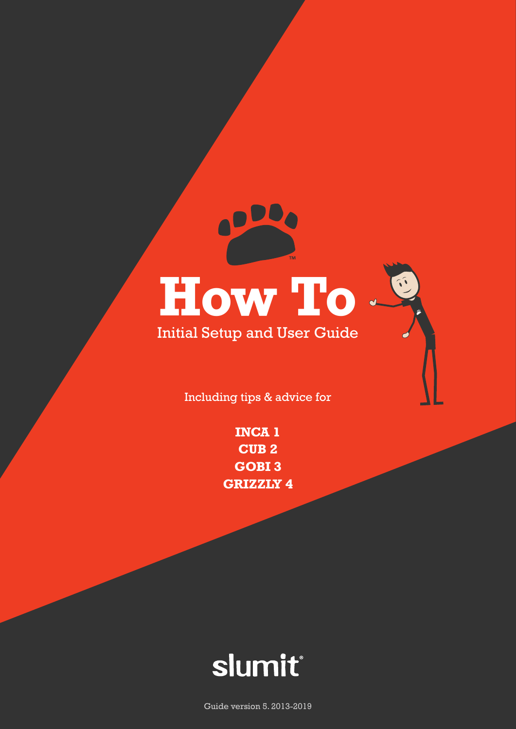# **How To**

Initial Setup and User Guide

Including tips & advice for

**CUB 2 INCA 1 GOBI 3 GRIZZLY 4**



Guide version 5. 2013-2019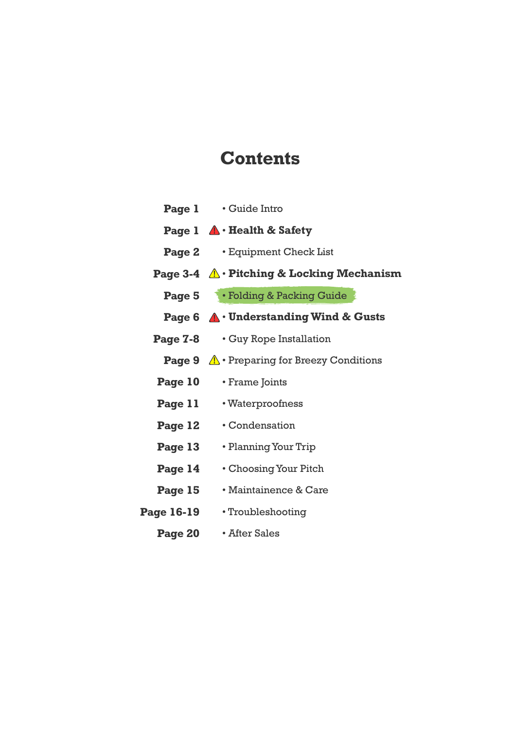#### **Contents**

|                   | <b>Page 1</b> • Guide Intro                               |
|-------------------|-----------------------------------------------------------|
|                   | <b>Page 1</b> $\triangle$ <b>· Health &amp; Safety</b>    |
|                   | <b>Page 2</b> • Equipment Check List                      |
|                   | Page 3-4 $\mathbb{A} \cdot$ Pitching & Locking Mechanism  |
|                   | <b>Page 5</b> • Folding & Packing Guide                   |
|                   | Page 6 $\bigwedge$ Understanding Wind & Gusts             |
|                   | Page 7-8 • Guy Rope Installation                          |
|                   | <b>Page 9</b> $\Lambda$ • Preparing for Breezy Conditions |
| Page 10           | • Frame Joints                                            |
| <b>Page 11</b>    | • Waterproofness                                          |
| Page 12           | • Condensation                                            |
| Page 13           | • Planning Your Trip                                      |
| Page 14           | • Choosing Your Pitch                                     |
| Page 15           | • Maintainence & Care                                     |
| <b>Page 16-19</b> | • Troubleshooting                                         |
| <b>Page 20</b>    | • After Sales                                             |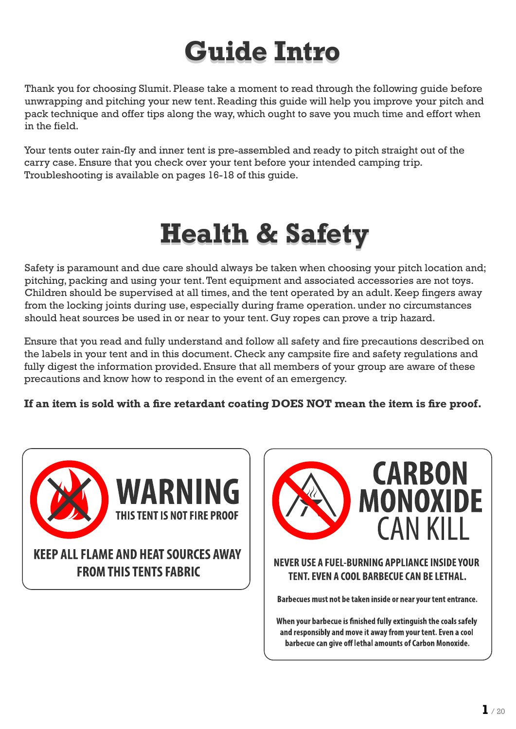### **Guide Intro**

Thank you for choosing Slumit. Please take a moment to read through the following guide before unwrapping and pitching your new tent. Reading this guide will help you improve your pitch and pack technique and offer tips along the way, which ought to save you much time and effort when in the field.

Your tents outer rain-fly and inner tent is pre-assembled and ready to pitch straight out of the carry case. Ensure that you check over your tent before your intended camping trip. Troubleshooting is available on pages 16-18 of this guide.

### **Health & Safety**

Safety is paramount and due care should always be taken when choosing your pitch location and; pitching, packing and using your tent. Tent equipment and associated accessories are not toys. Children should be supervised at all times, and the tent operated by an adult. Keep fingers away from the locking joints during use, especially during frame operation. under no circumstances should heat sources be used in or near to your tent. Guy ropes can prove a trip hazard.

Ensure that you read and fully understand and follow all safety and fire precautions described on the labels in your tent and in this document. Check any campsite fire and safety regulations and fully digest the information provided. Ensure that all members of your group are aware of these precautions and know how to respond in the event of an emergency.

**If an item is sold with a fire retardant coating DOES NOT mean the item is fire proof.**





Barbecues must not be taken inside or near your tent entrance.

When your barbecue is finished fully extinguish the coals safely and responsibly and move it away from your tent. Even a cool barbecue can give off lethal amounts of Carbon Monoxide.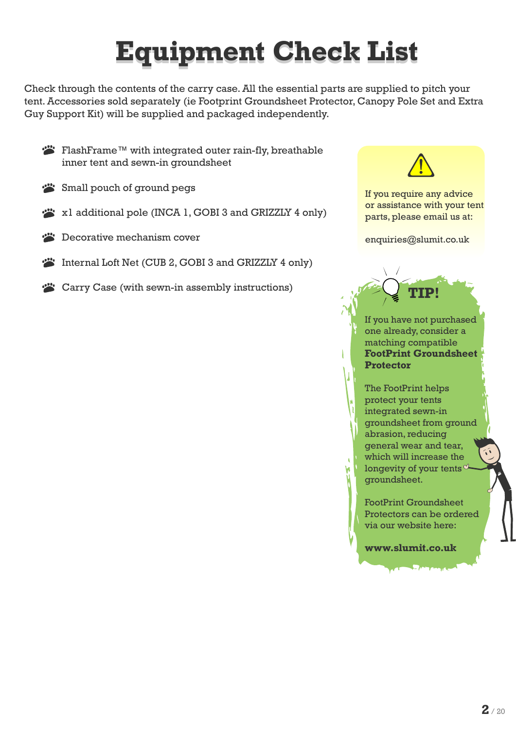### **Equipment Check List**

Check through the contents of the carry case. All the essential parts are supplied to pitch your tent. Accessories sold separately (ie Footprint Groundsheet Protector, Canopy Pole Set and Extra Guy Support Kit) will be supplied and packaged independently.

FlashFrame™ with integrated outer rain-fly, breathable inner tent and sewn-in groundsheet

- Small pouch of ground pegs
- x1 additional pole (INCA 1, GOBI 3 and GRIZZLY 4 only)
- **EX** Decorative mechanism cover
- Internal Loft Net (CUB 2, GOBI 3 and GRIZZLY 4 only)
- Carry Case (with sewn-in assembly instructions)



If you require any advice or assistance with your tent parts, please email us at:

enquiries@slumit.co.uk

If you have not purchased one already, consider a matching compatible **FootPrint Groundsheet Protector**.

**TIP!**

The FootPrint helps protect your tents integrated sewn-in groundsheet from ground abrasion, reducing general wear and tear, which will increase the longevity of your tents  $\alpha$ groundsheet.

FootPrint Groundsheet Protectors can be ordered via our website here:

**www.slumit.co.uk**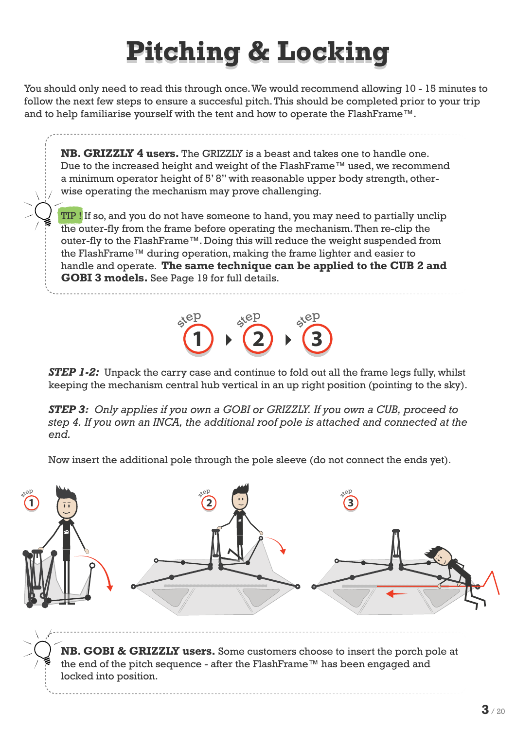### **Pitching & Locking**

You should only need to read this through once. We would recommend allowing 10 - 15 minutes to follow the next few steps to ensure a succesful pitch. This should be completed prior to your trip and to help familiarise yourself with the tent and how to operate the FlashFrame™.

**NB. GRIZZLY 4 users.** The GRIZZLY is a beast and takes one to handle one. Due to the increased height and weight of the FlashFrame™ used, we recommend a minimum operator height of 5' 8" with reasonable upper body strength, otherwise operating the mechanism may prove challenging.

TIP ! If so, and you do not have someone to hand, you may need to partially unclip the outer-fly from the frame before operating the mechanism. Then re-clip the outer-fly to the FlashFrame™. Doing this will reduce the weight suspended from the FlashFrame™ during operation, making the frame lighter and easier to handle and operate. **The same technique can be applied to the CUB 2 and GOBI 3 models.** See Page 19 for full details.



*STEP 1-2:* Unpack the carry case and continue to fold out all the frame legs fully, whilst keeping the mechanism central hub vertical in an up right position (pointing to the sky).

*STEP 3: Only applies if you own a GOBI or GRIZZLY. If you own a CUB, proceed to step 4. If you own an INCA, the additional roof pole is attached and connected at the end.*

Now insert the additional pole through the pole sleeve (do not connect the ends yet).

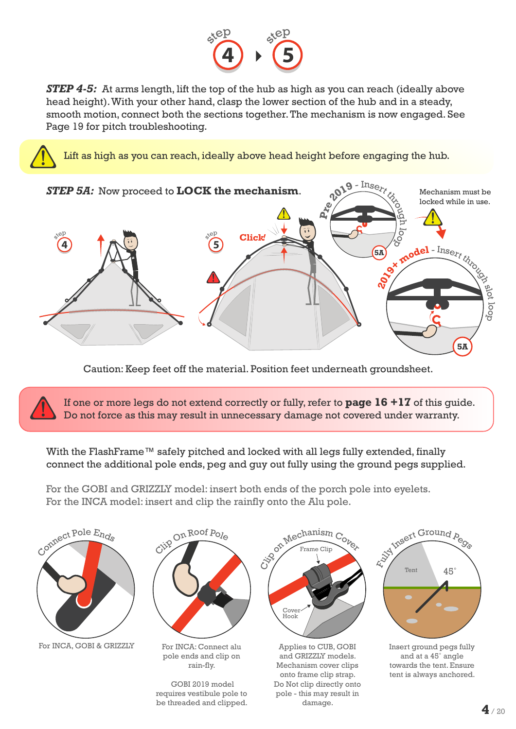

*STEP 4-5:* At arms length, lift the top of the hub as high as you can reach (ideally above head height). With your other hand, clasp the lower section of the hub and in a steady, smooth motion, connect both the sections together. The mechanism is now engaged. See Page 19 for pitch troubleshooting.

Lift as high as you can reach, ideally above head height before engaging the hub.



Caution: Keep feet off the material. Position feet underneath groundsheet.

If one or more legs do not extend correctly or fully, refer to **page 16 +17** of this guide. Do not force as this may result in unnecessary damage not covered under warranty.

With the FlashFrame™ safely pitched and locked with all legs fully extended, finally connect the additional pole ends, peg and guy out fully using the ground pegs supplied.

For the GOBI and GRIZZLY model: insert both ends of the porch pole into eyelets. For the INCA model: insert and clip the rainfly onto the Alu pole.

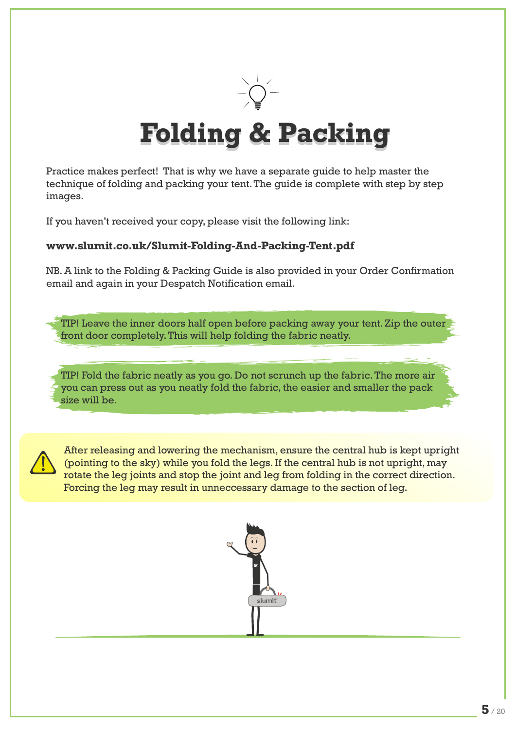

### **Folding & Packing**

Practice makes perfect! That is why we have a separate guide to help master the technique of folding and packing your tent. The guide is complete with step by step images.

If you haven't received your copy, please visit the following link:

#### **www.slumit.co.uk/Slumit-Folding-And-Packing-Tent.pdf**

NB. A link to the Folding & Packing Guide is also provided in your Order Confirmation email and again in your Despatch Notification email.

TIP! Leave the inner doors half open before packing away your tent. Zip the outer front door completely. This will help folding the fabric neatly.

TIP! Fold the fabric neatly as you go. Do not scrunch up the fabric. The more air you can press out as you neatly fold the fabric, the easier and smaller the pack size will be.



After releasing and lowering the mechanism, ensure the central hub is kept upright (pointing to the sky) while you fold the legs. If the central hub is not upright, may rotate the leg joints and stop the joint and leg from folding in the correct direction. Forcing the leg may result in unneccessary damage to the section of leg.

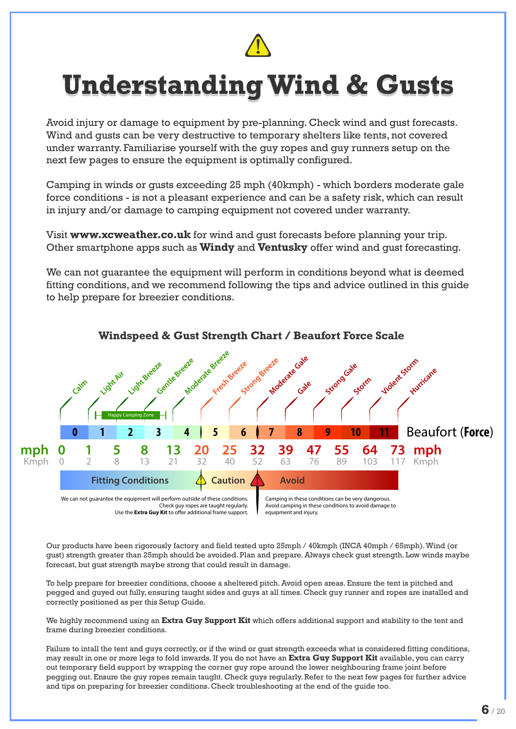

### **Understanding Wind & Gusts**

Avoid injury or damage to equipment by pre-planning. Check wind and gust forecasts. Wind and gusts can be very destructive to temporary shelters like tents, not covered under warranty. Familiarise yourself with the guy ropes and guy runners setup on the next few pages to ensure the equipment is optimally configured.

Camping in winds or gusts exceeding 25 mph (40kmph) - which borders moderate gale force conditions - is not a pleasant experience and can be a safety risk, which can result in injury and/or damage to camping equipment not covered under warranty.

Visit **www.xcweather.co.uk** for wind and gust forecasts before planning your trip. Other smartphone apps such as **Windy** and **Ventusky** offer wind and gust forecasting.

We can not guarantee the equipment will perform in conditions beyond what is deemed fitting conditions, and we recommend following the tips and advice outlined in this guide to help prepare for breezier conditions.



**Windspeed & Gust Strength Chart / Beaufort Force Scale**

Our products have been rigorously factory and field tested upto 25mph / 40kmph (INCA 40mph / 65mph). Wind (or gust) strength greater than 25mph should be avoided. Plan and prepare. Always check gust strength. Low winds maybe forecast, but gust strength maybe strong that could result in damage.

To help prepare for breezier conditions, choose a sheltered pitch. Avoid open areas. Ensure the tent is pitched and pegged and guyed out fully, ensuring taught sides and guys at all times. Check guy runner and ropes are installed and correctly positioned as per this Setup Guide.

We highly recommend using an **Extra Guy Support Kit** which offers additional support and stability to the tent and frame during breezier conditions.

Failure to intall the tent and guys correctly, or if the wind or gust strength exceeds what is considered fitting conditions, may result in one or more legs to fold inwards. If you do not have an **Extra Guy Support Kit** available, you can carry out temporary field support by wrapping the corner guy rope around the lower neighbouring frame joint before pegging out. Ensure the guy ropes remain taught. Check guys regularly. Refer to the next few pages for further advice and tips on preparing for breezier conditions. Check troubleshooting at the end of the guide too.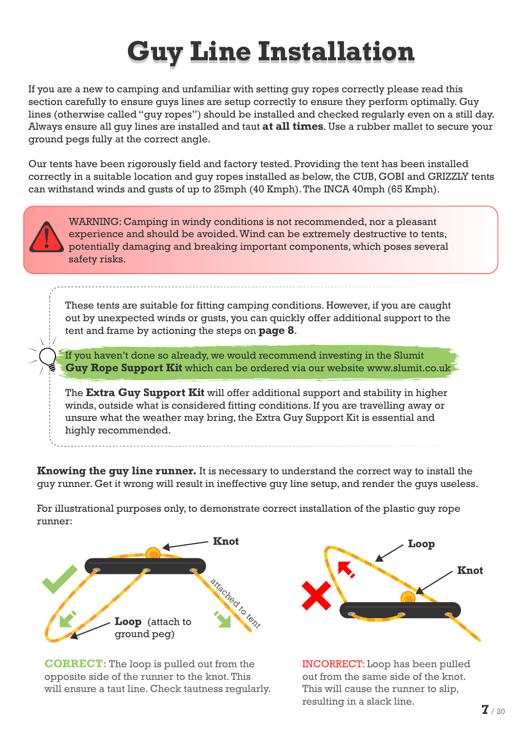### **Guy Line Installation**

If you are a new to camping and unfamiliar with setting guy ropes correctly please read this section carefully to ensure guys lines are setup correctly to ensure they perform optimally. Guy lines (otherwise called "guy ropes") should be installed and checked regularly even on a still day. Always ensure all guy lines are installed and taut **at all times**. Use a rubber mallet to secure your ground pegs fully at the correct angle.

Our tents have been rigorously field and factory tested. Providing the tent has been installed correctly in a suitable location and guy ropes installed as below, the CUB, GOBI and GRIZZLY tents can withstand winds and gusts of up to 25mph (40 Kmph). The INCA 40mph (65 Kmph).



WARNING: Camping in windy conditions is not recommended, nor a pleasant experience and should be avoided. Wind can be extremely destructive to tents, potentially damaging and breaking important components, which poses several safety risks.

These tents are suitable for fitting camping conditions. However, if you are caught out by unexpected winds or gusts, you can quickly offer additional support to the tent and frame by actioning the steps on **page 8**.

If you haven't done so already, we would recommend investing in the Slumit **Guy Rope Support Kit** which can be ordered via our website www.slumit.co.uk

The **Extra Guy Support Kit** will offer additional support and stability in higher winds, outside what is considered fitting conditions. If you are travelling away or unsure what the weather may bring, the Extra Guy Support Kit is essential and highly recommended.

**Knowing the guy line runner.** It is necessary to understand the correct way to install the guy runner. Get it wrong will result in ineffective guy line setup, and render the guys useless.

For illustrational purposes only, to demonstrate correct installation of the plastic guy rope runner:



**CORRECT:** The loop is pulled out from the opposite side of the runner to the knot. This will ensure a taut line. Check tautness regularly.



INCORRECT: Loop has been pulled out from the same side of the knot. This will cause the runner to slip, resulting in a slack line.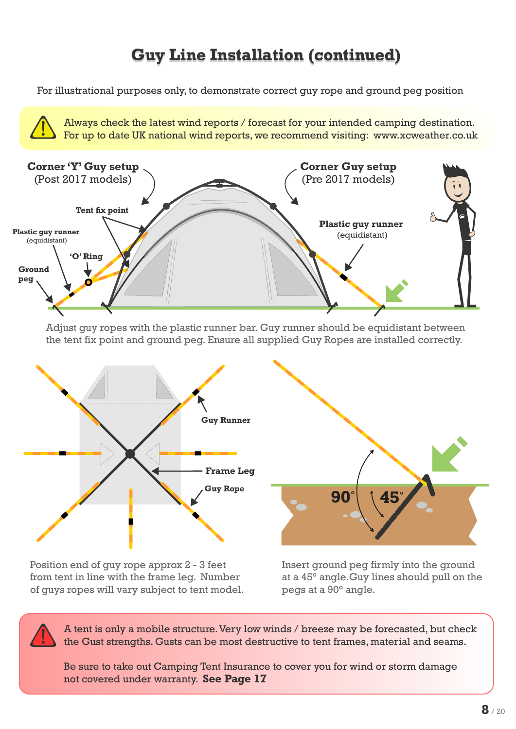#### **Guy Line Installation (continued)**

For illustrational purposes only, to demonstrate correct guy rope and ground peg position

Always check the latest wind reports / forecast for your intended camping destination. For up to date UK national wind reports, we recommend visiting: www.xcweather.co.uk



Adjust guy ropes with the plastic runner bar. Guy runner should be equidistant between the tent fix point and ground peg. Ensure all supplied Guy Ropes are installed correctly.



Position end of guy rope approx 2 - 3 feet from tent in line with the frame leg. Number of guys ropes will vary subject to tent model.

Insert ground peg firmly into the ground at a 45° angle.Guy lines should pull on the pegs at a 90° angle.

A tent is only a mobile structure. Very low winds / breeze may be forecasted, but check the Gust strengths. Gusts can be most destructive to tent frames, material and seams.

Be sure to take out Camping Tent Insurance to cover you for wind or storm damage not covered under warranty. **See Page 17**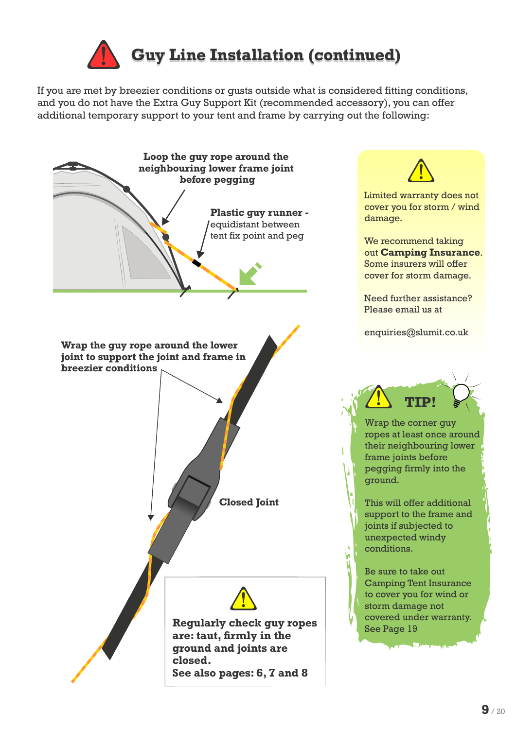

If you are met by breezier conditions or gusts outside what is considered fitting conditions, and you do not have the Extra Guy Support Kit (recommended accessory), you can offer additional temporary support to your tent and frame by carrying out the following:

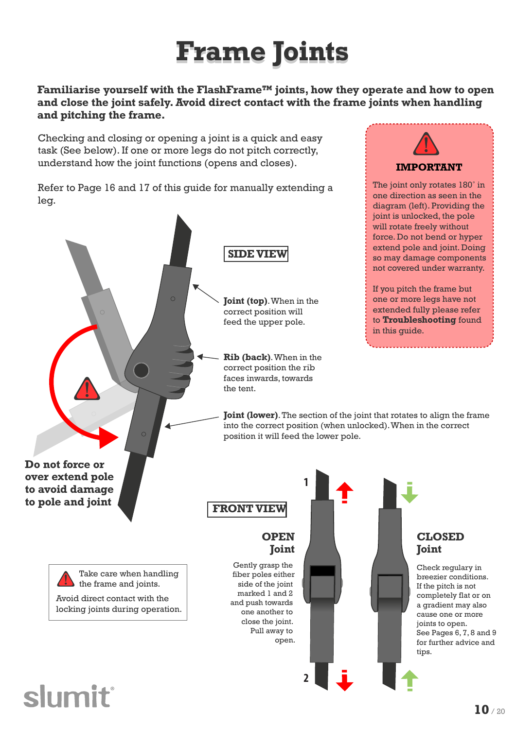### **Frame Joints**

#### **Familiarise yourself with the FlashFrame™ joints, how they operate and how to open and close the joint safely. Avoid direct contact with the frame joints when handling and pitching the frame.**

Checking and closing or opening a joint is a quick and easy task (See below). If one or more legs do not pitch correctly, understand how the joint functions (opens and closes).

Refer to Page 16 and 17 of this guide for manually extending a leg.



**IMPORTANT**

The joint only rotates 180° in one direction as seen in the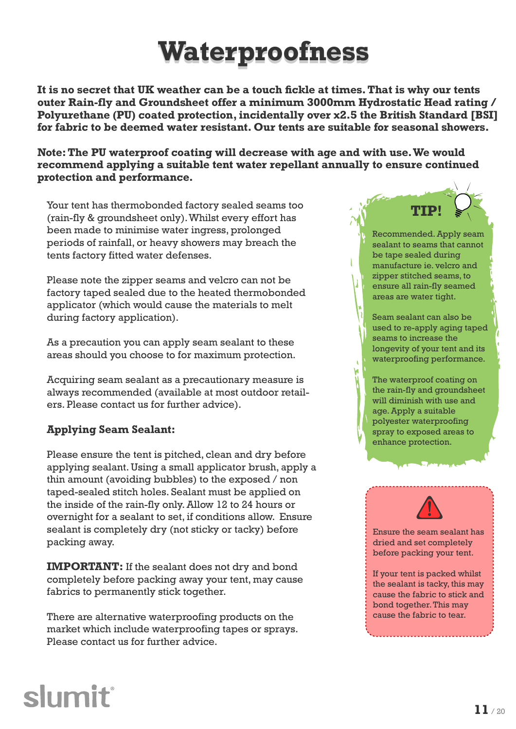### **Waterproofness**

**It is no secret that UK weather can be a touch fickle at times. That is why our tents outer Rain-fly and Groundsheet offer a minimum 3000mm Hydrostatic Head rating / Polyurethane (PU) coated protection, incidentally over x2.5 the British Standard [BSI] for fabric to be deemed water resistant. Our tents are suitable for seasonal showers.**

**Note: The PU waterproof coating will decrease with age and with use. We would recommend applying a suitable tent water repellant annually to ensure continued protection and performance.**

Your tent has thermobonded factory sealed seams too (rain-fly & groundsheet only). Whilst every effort has been made to minimise water ingress, prolonged periods of rainfall, or heavy showers may breach the tents factory fitted water defenses.

Please note the zipper seams and velcro can not be factory taped sealed due to the heated thermobonded applicator (which would cause the materials to melt during factory application).

As a precaution you can apply seam sealant to these areas should you choose to for maximum protection.

Acquiring seam sealant as a precautionary measure is always recommended (available at most outdoor retailers. Please contact us for further advice).

#### **Applying Seam Sealant:**

Please ensure the tent is pitched, clean and dry before applying sealant. Using a small applicator brush, apply a thin amount (avoiding bubbles) to the exposed / non taped-sealed stitch holes. Sealant must be applied on the inside of the rain-fly only. Allow 12 to 24 hours or overnight for a sealant to set, if conditions allow. Ensure sealant is completely dry (not sticky or tacky) before packing away.

**IMPORTANT:** If the sealant does not dry and bond completely before packing away your tent, may cause fabrics to permanently stick together.

There are alternative waterproofing products on the market which include waterproofing tapes or sprays. Please contact us for further advice.



Recommended. Apply seam sealant to seams that cannot be tape sealed during manufacture ie. velcro and zipper stitched seams, to ensure all rain-fly seamed areas are water tight.

Seam sealant can also be used to re-apply aging taped seams to increase the longevity of your tent and its waterproofing performance.

The waterproof coating on the rain-fly and groundsheet will diminish with use and age. Apply a suitable polyester waterproofing spray to exposed areas to enhance protection.



Ensure the seam sealant has dried and set completely before packing your tent.

If your tent is packed whilst the sealant is tacky, this may cause the fabric to stick and bond together. This may cause the fabric to tear.

### **slumit**®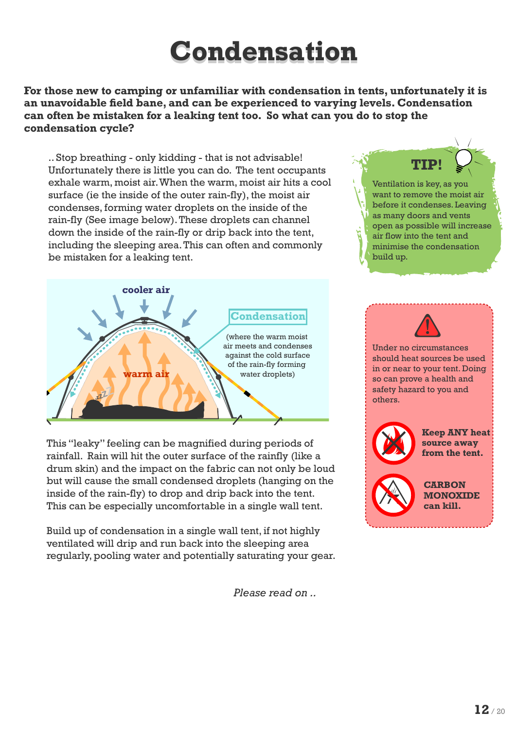### **Condensation**

**For those new to camping or unfamiliar with condensation in tents, unfortunately it is an unavoidable field bane, and can be experienced to varying levels. Condensation can often be mistaken for a leaking tent too. So what can you do to stop the condensation cycle?** 

.. Stop breathing - only kidding - that is not advisable! Unfortunately there is little you can do. The tent occupants exhale warm, moist air. When the warm, moist air hits a cool surface (ie the inside of the outer rain-fly), the moist air condenses, forming water droplets on the inside of the rain-fly (See image below). These droplets can channel down the inside of the rain-fly or drip back into the tent, including the sleeping area. This can often and commonly be mistaken for a leaking tent.



This "leaky" feeling can be magnified during periods of rainfall. Rain will hit the outer surface of the rainfly (like a drum skin) and the impact on the fabric can not only be loud but will cause the small condensed droplets (hanging on the inside of the rain-fly) to drop and drip back into the tent. This can be especially uncomfortable in a single wall tent.

Build up of condensation in a single wall tent, if not highly ventilated will drip and run back into the sleeping area regularly, pooling water and potentially saturating your gear.

 *Please read on ..*





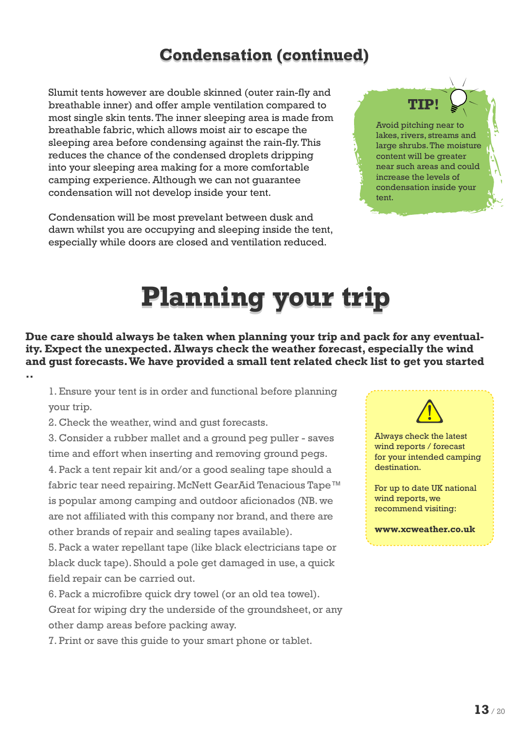#### **Condensation (continued)**

Slumit tents however are double skinned (outer rain-fly and breathable inner) and offer ample ventilation compared to most single skin tents. The inner sleeping area is made from breathable fabric, which allows moist air to escape the sleeping area before condensing against the rain-fly. This reduces the chance of the condensed droplets dripping into your sleeping area making for a more comfortable camping experience. Although we can not guarantee condensation will not develop inside your tent.

Condensation will be most prevelant between dusk and dawn whilst you are occupying and sleeping inside the tent, especially while doors are closed and ventilation reduced.

**TIP!**

Avoid pitching near to lakes, rivers, streams and large shrubs. The moisture content will be greater near such areas and could increase the levels of condensation inside your tent.

### **Planning your trip**

**Due care should always be taken when planning your trip and pack for any eventuality. Expect the unexpected. Always check the weather forecast, especially the wind and gust forecasts. We have provided a small tent related check list to get you started ..**

1. Ensure your tent is in order and functional before planning your trip.

2. Check the weather, wind and gust forecasts.

3. Consider a rubber mallet and a ground peg puller - saves time and effort when inserting and removing ground pegs. 4. Pack a tent repair kit and/or a good sealing tape should a fabric tear need repairing. McNett GearAid Tenacious Tape™ is popular among camping and outdoor aficionados (NB. we are not affiliated with this company nor brand, and there are other brands of repair and sealing tapes available).

5. Pack a water repellant tape (like black electricians tape or black duck tape). Should a pole get damaged in use, a quick field repair can be carried out.

6. Pack a microfibre quick dry towel (or an old tea towel). Great for wiping dry the underside of the groundsheet, or any other damp areas before packing away.

7. Print or save this guide to your smart phone or tablet.



Always check the latest wind reports / forecast for your intended camping destination.

For up to date UK national wind reports, we recommend visiting:

**www.xcweather.co.uk**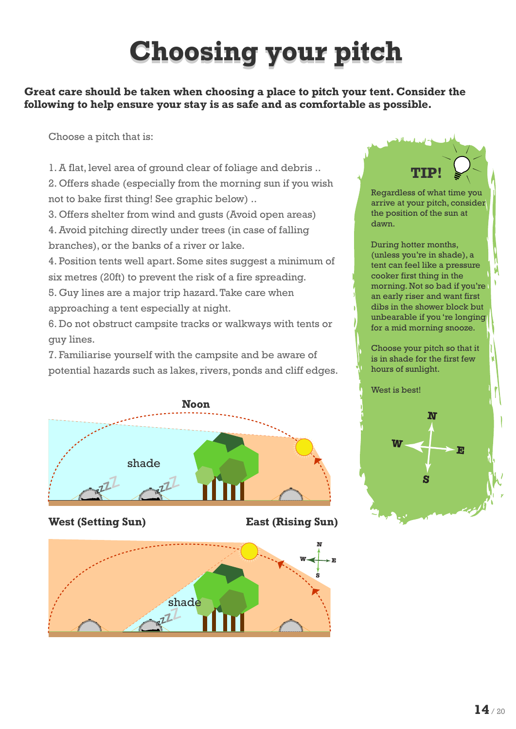### **Choosing your pitch**

**Great care should be taken when choosing a place to pitch your tent. Consider the following to help ensure your stay is as safe and as comfortable as possible.**

Choose a pitch that is:

1. A flat, level area of ground clear of foliage and debris .. 2. Offers shade (especially from the morning sun if you wish not to bake first thing! See graphic below) ..

3. Offers shelter from wind and gusts (Avoid open areas)

4. Avoid pitching directly under trees (in case of falling branches), or the banks of a river or lake.

4. Position tents well apart. Some sites suggest a minimum of six metres (20ft) to prevent the risk of a fire spreading.

5. Guy lines are a major trip hazard. Take care when approaching a tent especially at night.

6. Do not obstruct campsite tracks or walkways with tents or guy lines.

7. Familiarise yourself with the campsite and be aware of potential hazards such as lakes, rivers, ponds and cliff edges.



**West (Setting Sun) East (Rising Sun)**





Regardless of what time you arrive at your pitch, consider the position of the sun at dawn.

During hotter months, (unless you're in shade), a tent can feel like a pressure cooker first thing in the morning. Not so bad if you're an early riser and want first dibs in the shower block but unbearable if you 're longing for a mid morning snooze.

Choose your pitch so that it is in shade for the first few hours of sunlight.

West is best!

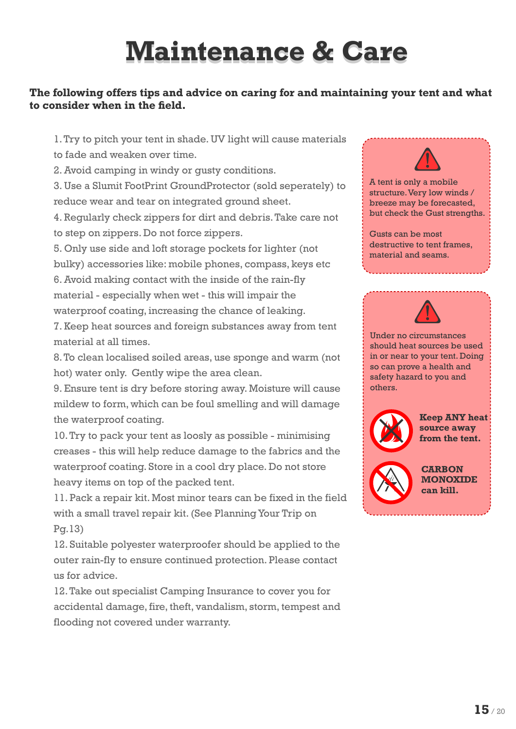### **Maintenance & Care**

#### **The following offers tips and advice on caring for and maintaining your tent and what to consider when in the field.**

1. Try to pitch your tent in shade. UV light will cause materials to fade and weaken over time.

2. Avoid camping in windy or gusty conditions.

3. Use a Slumit FootPrint GroundProtector (sold seperately) to reduce wear and tear on integrated ground sheet.

4. Regularly check zippers for dirt and debris. Take care not to step on zippers. Do not force zippers.

5. Only use side and loft storage pockets for lighter (not bulky) accessories like: mobile phones, compass, keys etc

6. Avoid making contact with the inside of the rain-fly material - especially when wet - this will impair the waterproof coating, increasing the chance of leaking.

7. Keep heat sources and foreign substances away from tent material at all times.

8. To clean localised soiled areas, use sponge and warm (not hot) water only. Gently wipe the area clean.

9. Ensure tent is dry before storing away. Moisture will cause mildew to form, which can be foul smelling and will damage the waterproof coating.

10. Try to pack your tent as loosly as possible - minimising creases - this will help reduce damage to the fabrics and the waterproof coating. Store in a cool dry place. Do not store heavy items on top of the packed tent.

11. Pack a repair kit. Most minor tears can be fixed in the field with a small travel repair kit. (See Planning Your Trip on Pg.13)

12. Suitable polyester waterproofer should be applied to the outer rain-fly to ensure continued protection. Please contact us for advice.

12. Take out specialist Camping Insurance to cover you for accidental damage, fire, theft, vandalism, storm, tempest and flooding not covered under warranty.



Gusts can be most destructive to tent frames, material and seams.



Under no circumstances should heat sources be used in or near to your tent. Doing so can prove a health and safety hazard to you and others.



**Keep ANY heat source away from the tent.**



**CARBON MONOXIDE can kill.**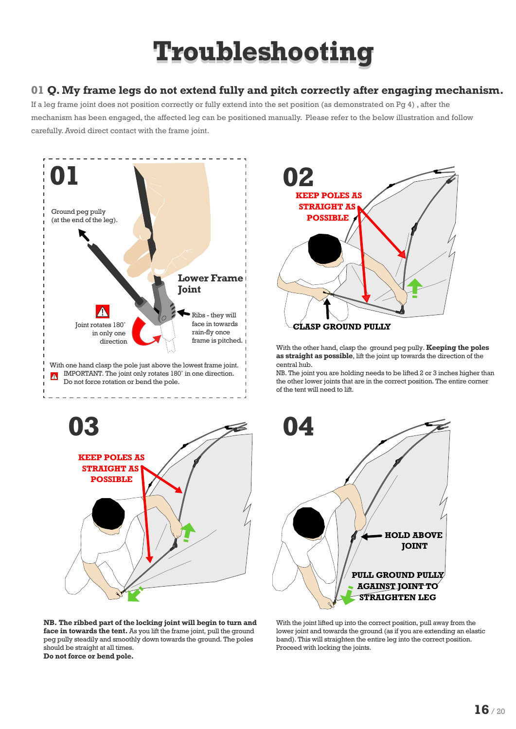#### **01 Q. My frame legs do not extend fully and pitch correctly after engaging mechanism.**

If a leg frame joint does not position correctly or fully extend into the set position (as demonstrated on Pg 4) , after the mechanism has been engaged, the affected leg can be positioned manually. Please refer to the below illustration and follow carefully. Avoid direct contact with the frame joint.





**NB. The ribbed part of the locking joint will begin to turn and face in towards the tent.** As you lift the frame joint, pull the ground peg pully steadily and smoothly down towards the ground. The poles should be straight at all times. **Do not force or bend pole.**



With the other hand, clasp the ground peg pully. **Keeping the poles as straight as possible**, lift the joint up towards the direction of the central hub.

NB. The joint you are holding needs to be lifted 2 or 3 inches higher than the other lower joints that are in the correct position. The entire corner of the tent will need to lift.



With the joint lifted up into the correct position, pull away from the lower joint and towards the ground (as if you are extending an elastic band). This will straighten the entire leg into the correct position. Proceed with locking the joints.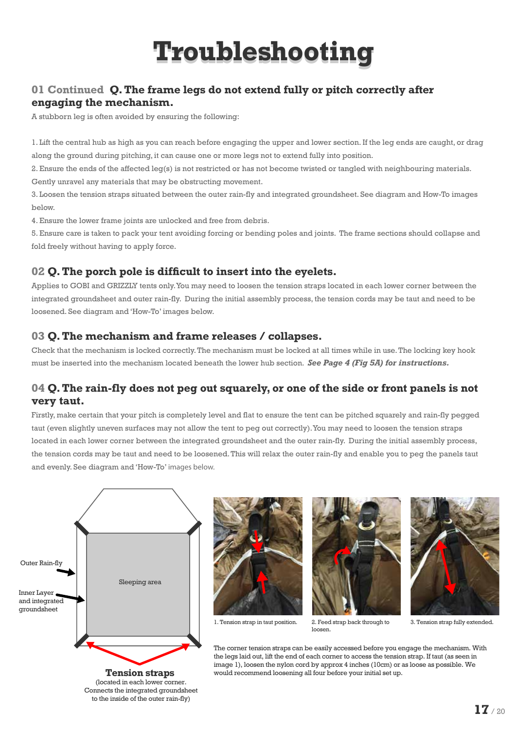#### **01 Continued Q. The frame legs do not extend fully or pitch correctly after engaging the mechanism.**

A stubborn leg is often avoided by ensuring the following:

1. Lift the central hub as high as you can reach before engaging the upper and lower section. If the leg ends are caught, or drag along the ground during pitching, it can cause one or more legs not to extend fully into position.

2. Ensure the ends of the affected leg(s) is not restricted or has not become twisted or tangled with neighbouring materials. Gently unravel any materials that may be obstructing movement.

3. Loosen the tension straps situated between the outer rain-fly and integrated groundsheet. See diagram and How-To images below.

4. Ensure the lower frame joints are unlocked and free from debris.

5. Ensure care is taken to pack your tent avoiding forcing or bending poles and joints. The frame sections should collapse and fold freely without having to apply force.

#### **02 Q. The porch pole is difficult to insert into the eyelets.**

Applies to GOBI and GRIZZLY tents only. You may need to loosen the tension straps located in each lower corner between the integrated groundsheet and outer rain-fly. During the initial assembly process, the tension cords may be taut and need to be loosened. See diagram and 'How-To' images below.

#### **03 Q. The mechanism and frame releases / collapses.**

Check that the mechanism is locked correctly. The mechanism must be locked at all times while in use. The locking key hook must be inserted into the mechanism located beneath the lower hub section. *See Page 4 (Fig 5A) for instructions.* 

#### **04 Q. The rain-fly does not peg out squarely, or one of the side or front panels is not very taut.**

Firstly, make certain that your pitch is completely level and flat to ensure the tent can be pitched squarely and rain-fly pegged taut (even slightly uneven surfaces may not allow the tent to peg out correctly). You may need to loosen the tension straps located in each lower corner between the integrated groundsheet and the outer rain-fly. During the initial assembly process, the tension cords may be taut and need to be loosened. This will relax the outer rain-fly and enable you to peg the panels taut and evenly. See diagram and 'How-To' images below.



Connects the integrated groundsheet to the inside of the outer rain-fly)







3. Tension strap fully extended.

The corner tension straps can be easily accessed before you engage the mechanism. With the legs laid out, lift the end of each corner to access the tension strap. If taut (as seen in image 1), loosen the nylon cord by approx 4 inches (10cm) or as loose as possible. We would recommend loosening all four before your initial set up.

loosen.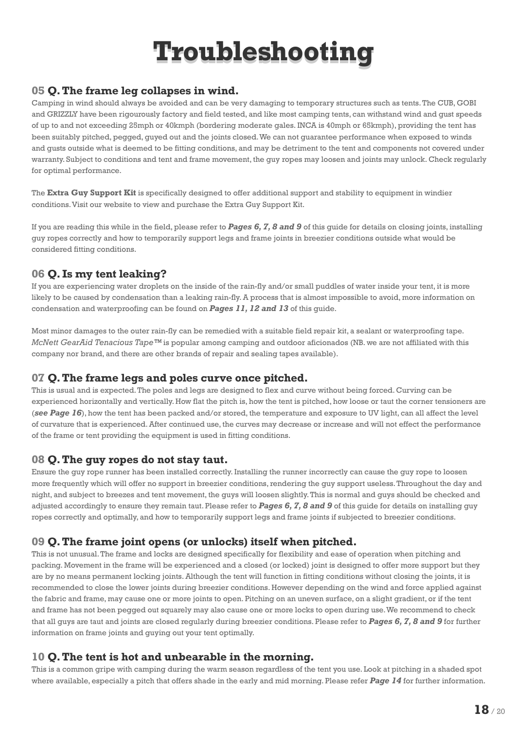#### **05 Q. The frame leg collapses in wind.**

Camping in wind should always be avoided and can be very damaging to temporary structures such as tents. The CUB, GOBI and GRIZZLY have been rigourously factory and field tested, and like most camping tents, can withstand wind and gust speeds of up to and not exceeding 25mph or 40kmph (bordering moderate gales. INCA is 40mph or 65kmph), providing the tent has been suitably pitched, pegged, guyed out and the joints closed. We can not guarantee performance when exposed to winds and gusts outside what is deemed to be fitting conditions, and may be detriment to the tent and components not covered under warranty. Subject to conditions and tent and frame movement, the guy ropes may loosen and joints may unlock. Check regularly for optimal performance.

The **Extra Guy Support Kit** is specifically designed to offer additional support and stability to equipment in windier conditions. Visit our website to view and purchase the Extra Guy Support Kit.

If you are reading this while in the field, please refer to *Pages 6, 7, 8 and 9* of this guide for details on closing joints, installing guy ropes correctly and how to temporarily support legs and frame joints in breezier conditions outside what would be considered fitting conditions.

#### **06 Q. Is my tent leaking?**

If you are experiencing water droplets on the inside of the rain-fly and/or small puddles of water inside your tent, it is more likely to be caused by condensation than a leaking rain-fly. A process that is almost impossible to avoid, more information on condensation and waterproofing can be found on *Pages 11, 12 and 13* of this guide.

Most minor damages to the outer rain-fly can be remedied with a suitable field repair kit, a sealant or waterproofing tape. *McNett GearAid Tenacious Tape™* is popular among camping and outdoor aficionados (NB. we are not affiliated with this company nor brand, and there are other brands of repair and sealing tapes available).

#### **07 Q. The frame legs and poles curve once pitched.**

This is usual and is expected. The poles and legs are designed to flex and curve without being forced. Curving can be experienced horizontally and vertically. How flat the pitch is, how the tent is pitched, how loose or taut the corner tensioners are (*see Page 16*), how the tent has been packed and/or stored, the temperature and exposure to UV light, can all affect the level of curvature that is experienced. After continued use, the curves may decrease or increase and will not effect the performance of the frame or tent providing the equipment is used in fitting conditions.

#### **08 Q. The guy ropes do not stay taut.**

Ensure the guy rope runner has been installed correctly. Installing the runner incorrectly can cause the guy rope to loosen more frequently which will offer no support in breezier conditions, rendering the guy support useless. Throughout the day and night, and subject to breezes and tent movement, the guys will loosen slightly. This is normal and guys should be checked and adjusted accordingly to ensure they remain taut. Please refer to *Pages 6, 7, 8 and 9* of this guide for details on installing guy ropes correctly and optimally, and how to temporarily support legs and frame joints if subjected to breezier conditions.

#### **09 Q. The frame joint opens (or unlocks) itself when pitched.**

This is not unusual. The frame and locks are designed specifically for flexibility and ease of operation when pitching and packing. Movement in the frame will be experienced and a closed (or locked) joint is designed to offer more support but they are by no means permanent locking joints. Although the tent will function in fitting conditions without closing the joints, it is recommended to close the lower joints during breezier conditions. However depending on the wind and force applied against the fabric and frame, may cause one or more joints to open. Pitching on an uneven surface, on a slight gradient, or if the tent and frame has not been pegged out squarely may also cause one or more locks to open during use. We recommend to check that all guys are taut and joints are closed regularly during breezier conditions. Please refer to *Pages 6, 7, 8 and 9* for further information on frame joints and guying out your tent optimally.

#### **10 Q. The tent is hot and unbearable in the morning.**

This is a common gripe with camping during the warm season regardless of the tent you use. Look at pitching in a shaded spot where available, especially a pitch that offers shade in the early and mid morning. Please refer *Page 14* for further information.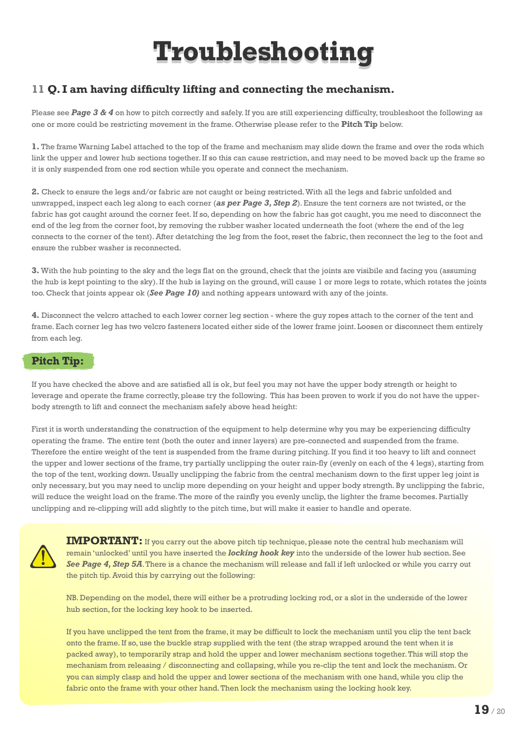#### **11 Q. I am having difficulty lifting and connecting the mechanism.**

Please see **Page 3 & 4** on how to pitch correctly and safely. If you are still experiencing difficulty, troubleshoot the following as one or more could be restricting movement in the frame. Otherwise please refer to the **Pitch Tip** below.

**1.** The frame Warning Label attached to the top of the frame and mechanism may slide down the frame and over the rods which link the upper and lower hub sections together. If so this can cause restriction, and may need to be moved back up the frame so it is only suspended from one rod section while you operate and connect the mechanism.

**2.** Check to ensure the legs and/or fabric are not caught or being restricted. With all the legs and fabric unfolded and unwrapped, inspect each leg along to each corner (*as per Page 3, Step 2*). Ensure the tent corners are not twisted, or the fabric has got caught around the corner feet. If so, depending on how the fabric has got caught, you me need to disconnect the end of the leg from the corner foot, by removing the rubber washer located underneath the foot (where the end of the leg connects to the corner of the tent). After detatching the leg from the foot, reset the fabric, then reconnect the leg to the foot and ensure the rubber washer is reconnected.

**3.** With the hub pointing to the sky and the legs flat on the ground, check that the joints are visibile and facing you (assuming the hub is kept pointing to the sky). If the hub is laying on the ground, will cause 1 or more legs to rotate, which rotates the joints too. Check that joints appear ok (*See Page 10)* and nothing appears untoward with any of the joints.

**4.** Disconnect the velcro attached to each lower corner leg section - where the guy ropes attach to the corner of the tent and frame. Each corner leg has two velcro fasteners located either side of the lower frame joint. Loosen or disconnect them entirely from each leg.

#### **Pitch Tip:**

If you have checked the above and are satisfied all is ok, but feel you may not have the upper body strength or height to leverage and operate the frame correctly, please try the following. This has been proven to work if you do not have the upperbody strength to lift and connect the mechanism safely above head height:

First it is worth understanding the construction of the equipment to help determine why you may be experiencing difficulty operating the frame. The entire tent (both the outer and inner layers) are pre-connected and suspended from the frame. Therefore the entire weight of the tent is suspended from the frame during pitching. If you find it too heavy to lift and connect the upper and lower sections of the frame, try partially unclipping the outer rain-fly (evenly on each of the 4 legs), starting from the top of the tent, working down. Usually unclipping the fabric from the central mechanism down to the first upper leg joint is only necessary, but you may need to unclip more depending on your height and upper body strength. By unclipping the fabric, will reduce the weight load on the frame. The more of the rainfly you evenly unclip, the lighter the frame becomes. Partially unclipping and re-clipping will add slightly to the pitch time, but will make it easier to handle and operate.



**IMPORTANT:** If you carry out the above pitch tip technique, please note the central hub mechanism will remain 'unlocked' until you have inserted the *locking hook key* into the underside of the lower hub section. See *See Page 4, Step 5A*. There is a chance the mechanism will release and fall if left unlocked or while you carry out the pitch tip. Avoid this by carrying out the following:

NB. Depending on the model, there will either be a protruding locking rod, or a slot in the underside of the lower hub section, for the locking key hook to be inserted.

If you have unclipped the tent from the frame, it may be difficult to lock the mechanism until you clip the tent back onto the frame. If so, use the buckle strap supplied with the tent (the strap wrapped around the tent when it is packed away), to temporarily strap and hold the upper and lower mechanism sections together. This will stop the mechanism from releasing / disconnecting and collapsing, while you re-clip the tent and lock the mechanism. Or you can simply clasp and hold the upper and lower sections of the mechanism with one hand, while you clip the fabric onto the frame with your other hand. Then lock the mechanism using the locking hook key.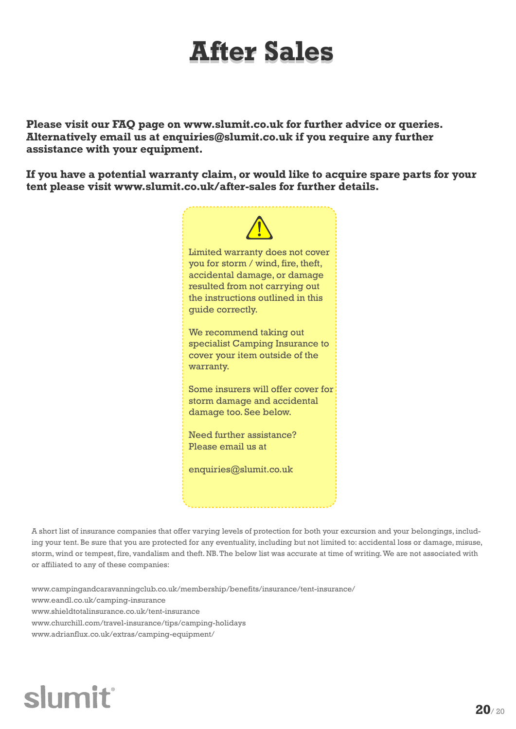### **After Sales**

**Please visit our FAQ page on www.slumit.co.uk for further advice or queries. Alternatively email us at enquiries@slumit.co.uk if you require any further assistance with your equipment.**

**If you have a potential warranty claim, or would like to acquire spare parts for your tent please visit www.slumit.co.uk/after-sales for further details.**



A short list of insurance companies that offer varying levels of protection for both your excursion and your belongings, including your tent. Be sure that you are protected for any eventuality, including but not limited to: accidental loss or damage, misuse, storm, wind or tempest, fire, vandalism and theft. NB. The below list was accurate at time of writing. We are not associated with or affiliated to any of these companies:

www.campingandcaravanningclub.co.uk/membership/benefits/insurance/tent-insurance/ www.eandl.co.uk/camping-insurance www.shieldtotalinsurance.co.uk/tent-insurance www.churchill.com/travel-insurance/tips/camping-holidays www.adrianflux.co.uk/extras/camping-equipment/

### slumit®